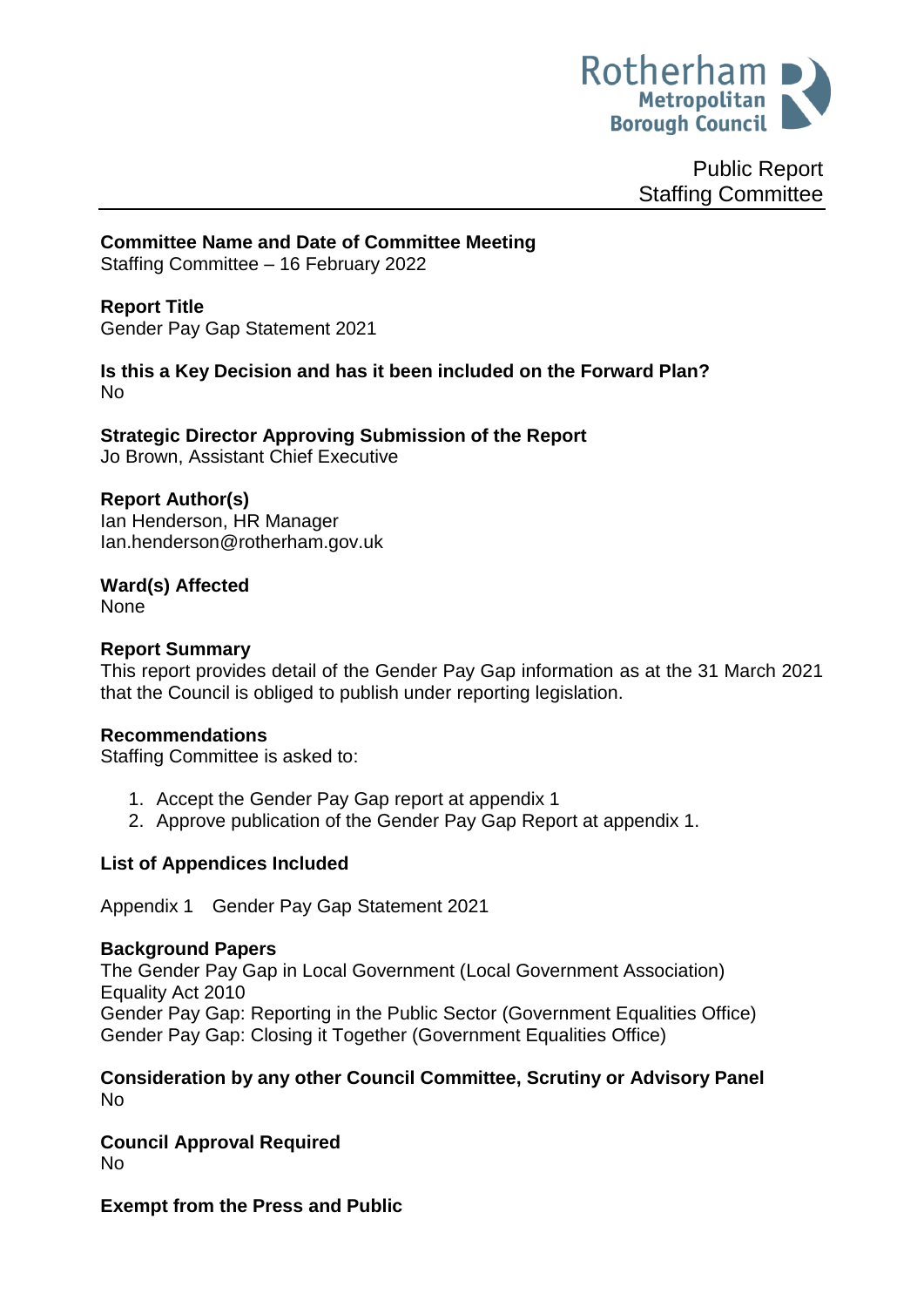

Public Report Staffing Committee

**Committee Name and Date of Committee Meeting**

Staffing Committee – 16 February 2022

# **Report Title**

<span id="page-0-0"></span>Gender Pay Gap Statement 2021

# **Is this a Key Decision and has it been included on the Forward Plan?**  No

**Strategic Director Approving Submission of the Report** Jo Brown, Assistant Chief Executive

# **Report Author(s)**

Ian Henderson, HR Manager Ian.henderson@rotherham.gov.uk

**Ward(s) Affected** None

# **Report Summary**

This report provides detail of the Gender Pay Gap information as at the 31 March 2021 that the Council is obliged to publish under reporting legislation.

## **Recommendations**

Staffing Committee is asked to:

- 1. Accept the Gender Pay Gap report at appendix 1
- 2. Approve publication of the Gender Pay Gap Report at appendix 1.

# **List of Appendices Included**

Appendix 1 Gender Pay Gap Statement 2021

## **Background Papers**

The Gender Pay Gap in Local Government (Local Government Association) Equality Act 2010 Gender Pay Gap: Reporting in the Public Sector (Government Equalities Office) Gender Pay Gap: Closing it Together (Government Equalities Office)

### **Consideration by any other Council Committee, Scrutiny or Advisory Panel** No

**Council Approval Required** No

**Exempt from the Press and Public**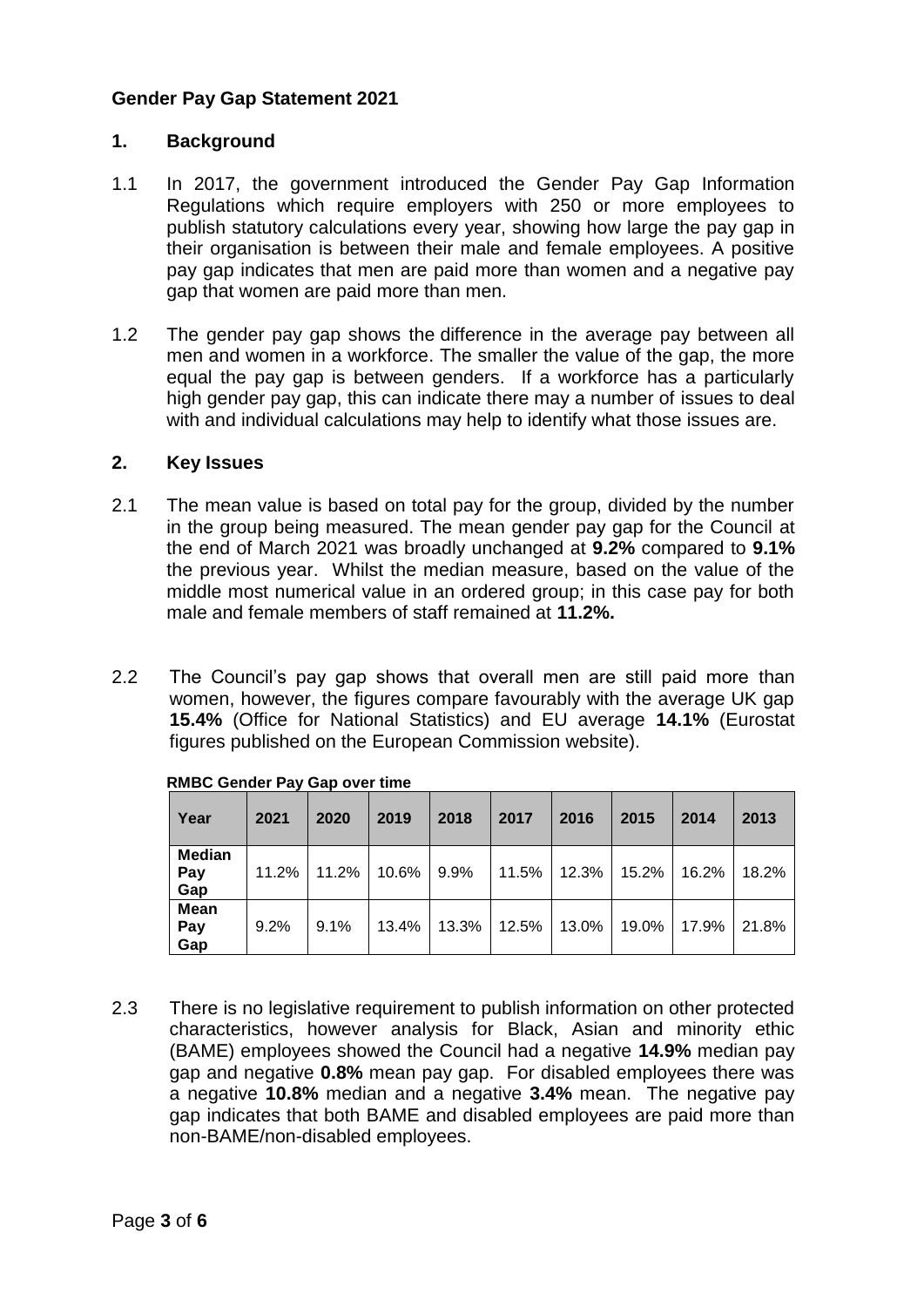## **[Gender Pay Gap Statement 2021](#page-0-0)**

## **1. Background**

- 1.1 In 2017, the government introduced the Gender Pay Gap Information Regulations which require employers with 250 or more employees to publish statutory calculations every year, showing how large the pay gap in their organisation is between their male and female employees. A positive pay gap indicates that men are paid more than women and a negative pay gap that women are paid more than men.
- 1.2 The gender pay gap shows the difference in the average pay between all men and women in a workforce. The smaller the value of the gap, the more equal the pay gap is between genders. If a workforce has a particularly high gender pay gap, this can indicate there may a number of issues to deal with and individual calculations may help to identify what those issues are.

### **2. Key Issues**

- 2.1 The mean value is based on total pay for the group, divided by the number in the group being measured. The mean gender pay gap for the Council at the end of March 2021 was broadly unchanged at **9.2%** compared to **9.1%**  the previous year. Whilst the median measure, based on the value of the middle most numerical value in an ordered group; in this case pay for both male and female members of staff remained at **11.2%.**
- 2.2 The Council's pay gap shows that overall men are still paid more than women, however, the figures compare favourably with the average UK gap **15.4%** (Office for National Statistics) and EU average **14.1%** (Eurostat figures published on the European Commission website).

| Year                        | 2021  | 2020  | 2019  | 2018  | 2017  | 2016  | 2015  | 2014  | 2013  |
|-----------------------------|-------|-------|-------|-------|-------|-------|-------|-------|-------|
| <b>Median</b><br>Pay<br>Gap | 11.2% | 11.2% | 10.6% | 9.9%  | 11.5% | 12.3% | 15.2% | 16.2% | 18.2% |
| <b>Mean</b><br>Pay<br>Gap   | 9.2%  | 9.1%  | 13.4% | 13.3% | 12.5% | 13.0% | 19.0% | 17.9% | 21.8% |

| <b>RMBC Gender Pay Gap over time</b> |  |  |  |  |  |  |
|--------------------------------------|--|--|--|--|--|--|
|--------------------------------------|--|--|--|--|--|--|

2.3 There is no legislative requirement to publish information on other protected characteristics, however analysis for Black, Asian and minority ethic (BAME) employees showed the Council had a negative **14.9%** median pay gap and negative **0.8%** mean pay gap. For disabled employees there was a negative **10.8%** median and a negative **3.4%** mean. The negative pay gap indicates that both BAME and disabled employees are paid more than non-BAME/non-disabled employees.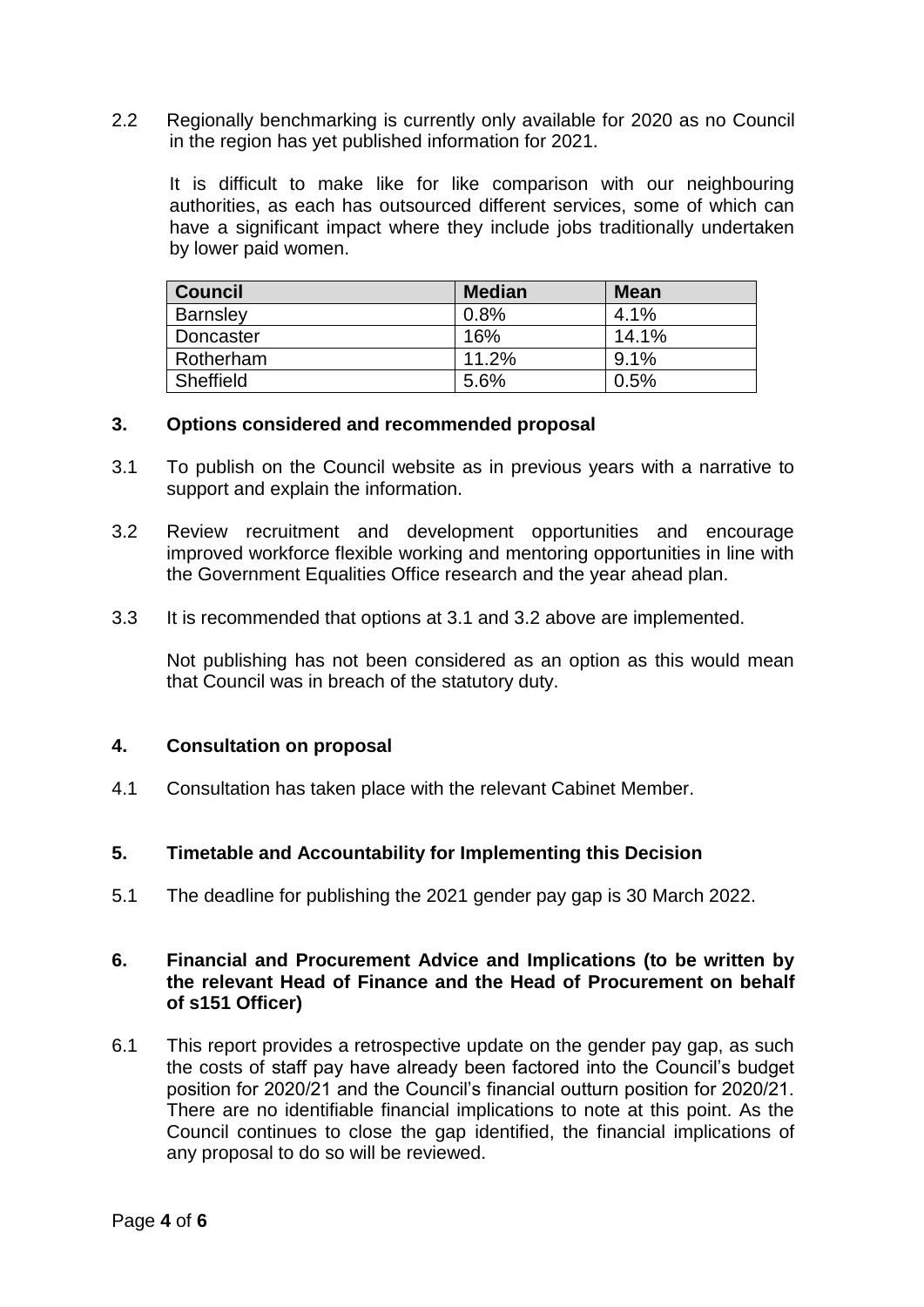2.2 Regionally benchmarking is currently only available for 2020 as no Council in the region has yet published information for 2021.

It is difficult to make like for like comparison with our neighbouring authorities, as each has outsourced different services, some of which can have a significant impact where they include jobs traditionally undertaken by lower paid women.

| <b>Council</b>  | <b>Median</b> | <b>Mean</b> |
|-----------------|---------------|-------------|
| <b>Barnsley</b> | 0.8%          | 4.1%        |
| Doncaster       | 16%           | 14.1%       |
| Rotherham       | 11.2%         | 9.1%        |
| Sheffield       | 5.6%          | $0.5\%$     |

### **3. Options considered and recommended proposal**

- 3.1 To publish on the Council website as in previous years with a narrative to support and explain the information.
- 3.2 Review recruitment and development opportunities and encourage improved workforce flexible working and mentoring opportunities in line with the Government Equalities Office research and the year ahead plan.
- 3.3 It is recommended that options at 3.1 and 3.2 above are implemented.

Not publishing has not been considered as an option as this would mean that Council was in breach of the statutory duty.

#### **4. Consultation on proposal**

4.1 Consultation has taken place with the relevant Cabinet Member.

## **5. Timetable and Accountability for Implementing this Decision**

5.1 The deadline for publishing the 2021 gender pay gap is 30 March 2022.

### **6. Financial and Procurement Advice and Implications (to be written by the relevant Head of Finance and the Head of Procurement on behalf of s151 Officer)**

6.1 This report provides a retrospective update on the gender pay gap, as such the costs of staff pay have already been factored into the Council's budget position for 2020/21 and the Council's financial outturn position for 2020/21. There are no identifiable financial implications to note at this point. As the Council continues to close the gap identified, the financial implications of any proposal to do so will be reviewed.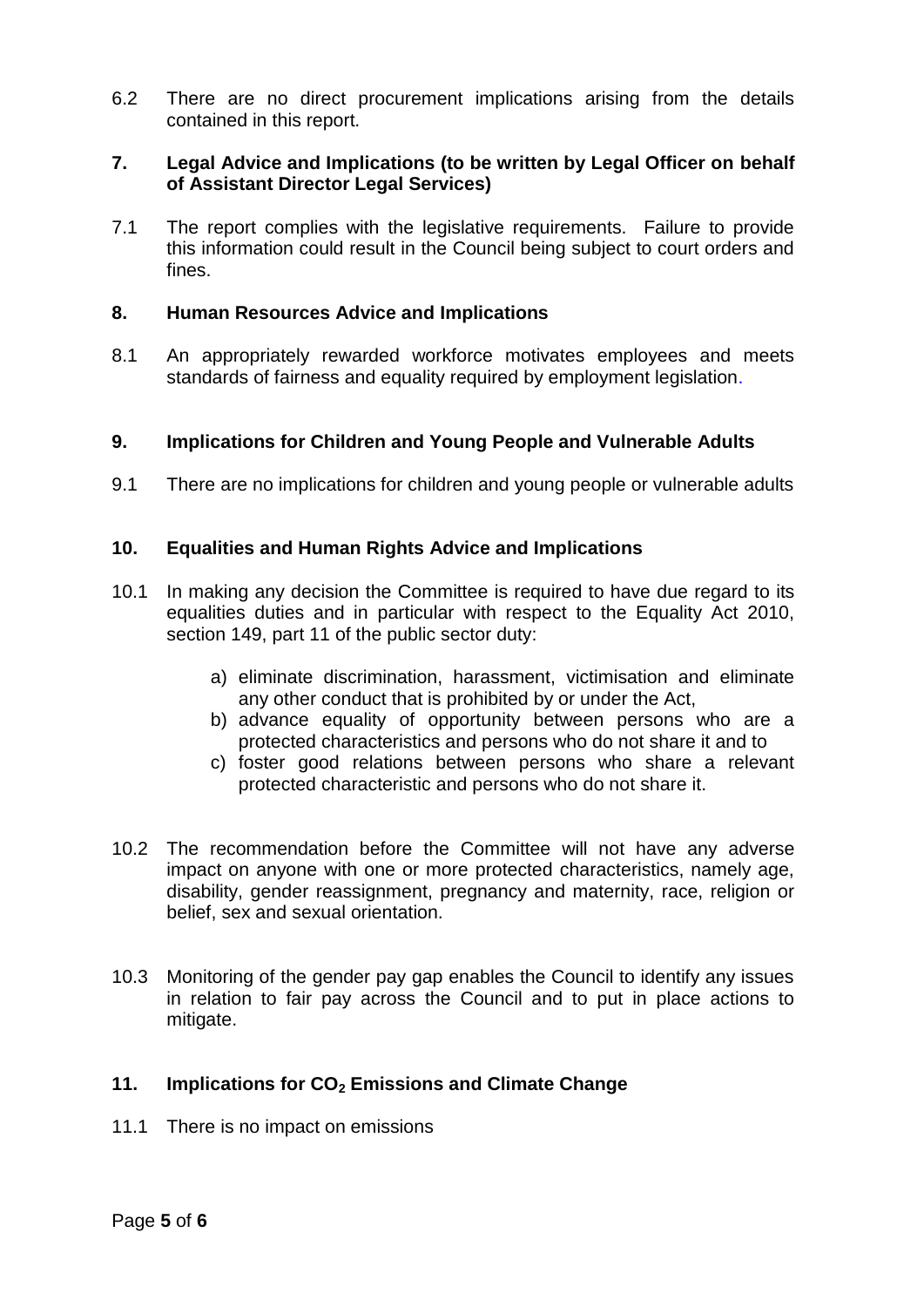6.2 There are no direct procurement implications arising from the details contained in this report.

## **7. Legal Advice and Implications (to be written by Legal Officer on behalf of Assistant Director Legal Services)**

7.1 The report complies with the legislative requirements. Failure to provide this information could result in the Council being subject to court orders and fines.

## **8. Human Resources Advice and Implications**

8.1 An appropriately rewarded workforce motivates employees and meets standards of fairness and equality required by employment legislation.

### **9. Implications for Children and Young People and Vulnerable Adults**

9.1 There are no implications for children and young people or vulnerable adults

### **10. Equalities and Human Rights Advice and Implications**

- 10.1 In making any decision the Committee is required to have due regard to its equalities duties and in particular with respect to the Equality Act 2010, section 149, part 11 of the public sector duty:
	- a) eliminate discrimination, harassment, victimisation and eliminate any other conduct that is prohibited by or under the Act,
	- b) advance equality of opportunity between persons who are a protected characteristics and persons who do not share it and to
	- c) foster good relations between persons who share a relevant protected characteristic and persons who do not share it.
- 10.2 The recommendation before the Committee will not have any adverse impact on anyone with one or more protected characteristics, namely age, disability, gender reassignment, pregnancy and maternity, race, religion or belief, sex and sexual orientation.
- 10.3 Monitoring of the gender pay gap enables the Council to identify any issues in relation to fair pay across the Council and to put in place actions to mitigate.

## **11. Implications for CO<sup>2</sup> Emissions and Climate Change**

11.1 There is no impact on emissions